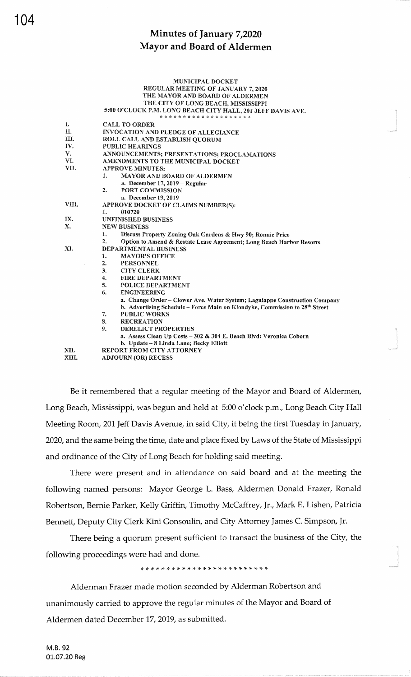|       | <b>MUNICIPAL DOCKET</b>                                                                 |  |  |  |  |  |
|-------|-----------------------------------------------------------------------------------------|--|--|--|--|--|
|       | <b>REGULAR MEETING OF JANUARY 7, 2020</b>                                               |  |  |  |  |  |
|       | THE MAYOR AND BOARD OF ALDERMEN                                                         |  |  |  |  |  |
|       | THE CITY OF LONG BEACH, MISSISSIPPI                                                     |  |  |  |  |  |
|       | 5:00 O'CLOCK P.M. LONG BEACH CITY HALL, 201 JEFF DAVIS AVE.                             |  |  |  |  |  |
|       | * * * * * * * * * * * * * * * * * * * *                                                 |  |  |  |  |  |
| I.    | <b>CALL TO ORDER</b>                                                                    |  |  |  |  |  |
| H.    | INVOCATION AND PLEDGE OF ALLEGIANCE                                                     |  |  |  |  |  |
| III.  | ROLL CALL AND ESTABLISH QUORUM                                                          |  |  |  |  |  |
| IV.   | <b>PUBLIC HEARINGS</b>                                                                  |  |  |  |  |  |
| V.    | ANNOUNCEMENTS; PRESENTATIONS; PROCLAMATIONS                                             |  |  |  |  |  |
| VI.   | AMENDMENTS TO THE MUNICIPAL DOCKET                                                      |  |  |  |  |  |
| VII.  | <b>APPROVE MINITES:</b>                                                                 |  |  |  |  |  |
|       | 1.<br><b>MAYOR AND BOARD OF ALDERMEN</b>                                                |  |  |  |  |  |
|       | a. December $17,2019$ - Regular                                                         |  |  |  |  |  |
|       | 2.<br><b>PORT COMMISSION</b>                                                            |  |  |  |  |  |
|       | a. December 19, 2019                                                                    |  |  |  |  |  |
| VIII. | APPROVE DOCKET OF CLAIMS NUMBER(S):                                                     |  |  |  |  |  |
|       | 1.<br>010720                                                                            |  |  |  |  |  |
| IX.   | <b>UNFINISHED BUSINESS</b>                                                              |  |  |  |  |  |
| X.    | <b>NEW BUSINESS</b>                                                                     |  |  |  |  |  |
|       | 1.<br>Discuss Property Zoning Oak Gardens & Hwy 90; Ronnie Price                        |  |  |  |  |  |
|       | 2.<br>Option to Amend & Restate Lease Agreement; Long Beach Harbor Resorts              |  |  |  |  |  |
| XI.   | DEPARTMENTAL BUSINESS                                                                   |  |  |  |  |  |
|       | 1.<br><b>MAYOR'S OFFICE</b>                                                             |  |  |  |  |  |
|       | 2.<br><b>PERSONNEL</b>                                                                  |  |  |  |  |  |
|       | 3.<br><b>CITY CLERK</b>                                                                 |  |  |  |  |  |
|       | 4.<br>FIRE DEPARTMENT                                                                   |  |  |  |  |  |
|       | 5.<br><b>POLICE DEPARTMENT</b>                                                          |  |  |  |  |  |
|       | 6.<br><b>ENGINEERING</b>                                                                |  |  |  |  |  |
|       | a. Change Order - Clower Ave. Water System; Lagniappe Construction Company              |  |  |  |  |  |
|       | b. Advertising Schedule - Force Main on Klondyke, Commission to 28 <sup>th</sup> Street |  |  |  |  |  |
|       | 7.<br><b>PUBLIC WORKS</b>                                                               |  |  |  |  |  |
|       | 8.<br><b>RECREATION</b>                                                                 |  |  |  |  |  |
|       | 9.<br><b>DERELICT PROPERTIES</b>                                                        |  |  |  |  |  |
|       | a. Assess Clean Up Costs - 302 & 304 E. Beach Blvd; Veronica Coborn                     |  |  |  |  |  |
|       | b. Update - 8 Linda Lane; Becky Elliott                                                 |  |  |  |  |  |
| XII.  | <b>REPORT FROM CITY ATTORNEY</b>                                                        |  |  |  |  |  |
| XIII. | <b>ADJOURN (OR) RECESS</b>                                                              |  |  |  |  |  |

Be it remembered that a regular meeting of the Mayor and Board of Aldermen, Long Beach, Mississippi, was begun and held at 5:00 o'clock p.m., Long Beach City Hall Meeting Room, 201 Jeff Davis Avenue, in said City, it being the first Tuesday in January, 2020, and the same being the time, date and place fixed by Laws of the State of Mississippi and ordinance of the City of Long Beach for holding said meeting.

There were present and in attendance on said board and at the meeting the following named persons: Mayor George L. Bass, Aldermen Donald Frazer, Ronald Robertson, Bernie Parker, Kelly Griffin, Timothy McCaffrey, Jr., Mark E. Lishen, Patricia Bennett, Deputy City Clerk Kini Gonsoulin, and City Attorney James C. Simpson, Jr.

There being a quorum present sufficient to transact the business of the City, the following proceedings were had and done.

Alderman Frazer made motion seconded by Alderman Robertson and unanimously carried to approve the regular minutes of the Mayor and Board of Aldermen dated December 17, 2019, as submitted.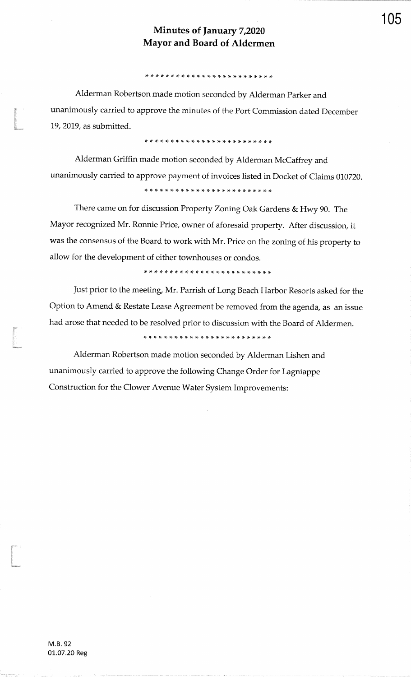\* ri \* rT \* rf ,F )F \* rT )F \* \* rT rF rt \* )F rT \* \* \* rt r{- \*

Alderman Robertson made motion seconded by Alderman Parker andunanimously carried to approve the minutes of the Port Commission dated December19,2019, as submitted.

#### ,t rF \* \* :F )t \* rf \* rF r{. \* \* rf rF \* rF rF rT \* \* :F rT rF rF

Alderman Griffin made motion seconded by Alderman McCaffrey andunanimously carried to approve payment of invoices listed in Docket of Claims 010720.

#### 

There came on for discussion Property Zoning Oak Gardens & Hwy 90. The Mayor recognized Mr. Ronnie Price, owner of aforesaid property. After discussion, itwas the consensus of the Board to work with Mr. Price on the zoning of his property toallow for the development of either townhouses or condos.

,t \* rF rF \* \* \* \* rF r\$ !T \* \* \* \* \* :F r+ rF rF :t rt rt rT !TJust prior to the meeting, Mr. Parrish of Long Beach Harbor Resorts asked for the Option to Amend & Restate Lease Agreement be removed from the agenda, as an issue had arose that needed to be resolved prior to discussion with the Board of Aldermen.

Alderman Robertson made motion seconded by Alderman Lishen andunanimously carried to approve the following Change Order for LagniappeConstruction for the Clower Avenue Water System Improvements:

t<br>1980<br>Marcoura

t<br>Manazarta

l<br>Médagos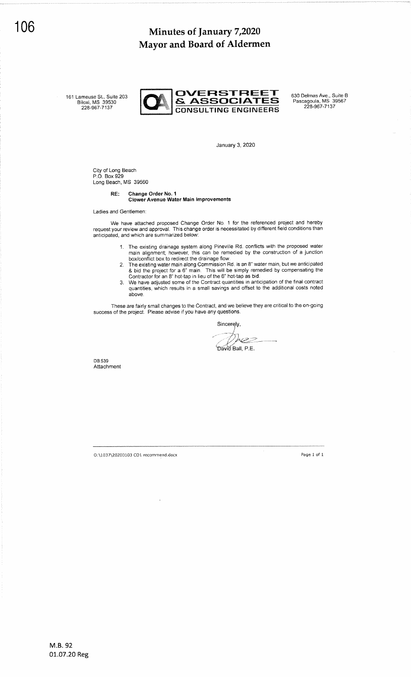161 Lameuse St., Suite 203<br>Biloxi, MS 39530



January 3, 2020

City of Long Beach P.O. Box 929 Long Beach, MS <sup>39560</sup>

#### Change Order No. <sup>1</sup> Clower Avenue Water Main Improvements RE:

Ladies and Gentlemen

We have attached proposed Change Order No. 1 for the referenced request your review and approval. This change order is necessitated by different anticipated, and which are summarized below: project and hereby field conditions than

- 1. The existing drainage system along Pineville Rd. conflicts with the proposed water main alignment; however, this can be remedied by the construction of a junction
- box/conflict box to redirect the drainage flow. 2. The existing water main along Commission Rd. is an 8" water main, but we anticipated & bid the project for a 6" main. This will be simply remedied by compensating the
- 3. We have adjusted some of the Contract quantities in anticipation of the final contract quantities, which results in a small savings and offret to the additional costs noted above.

These are fairly small changes to the Contract, and we believe they are critical to the on-going success of the project. Please advise if you have any questions.

Sincerely Œ David Ball, P.E.

DB;539 Attachment

Or\1037\20200103 CO1 recommend.docx Page L of <sup>1</sup>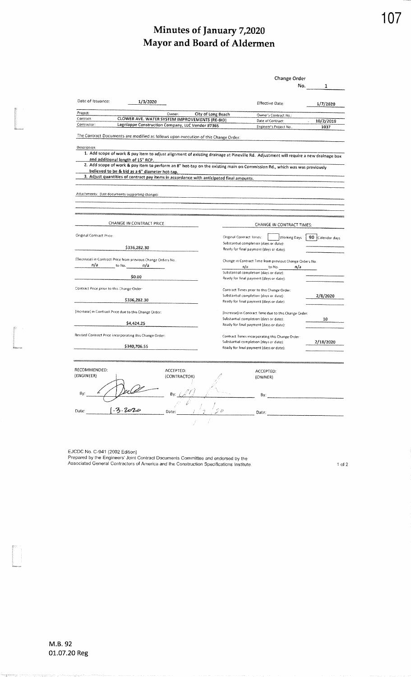|                                            |                                                                                                                                      |              |                             |                                                                                   | Change Order                                            |     |                  |
|--------------------------------------------|--------------------------------------------------------------------------------------------------------------------------------------|--------------|-----------------------------|-----------------------------------------------------------------------------------|---------------------------------------------------------|-----|------------------|
|                                            |                                                                                                                                      |              |                             |                                                                                   |                                                         | No. | 1                |
|                                            |                                                                                                                                      |              |                             |                                                                                   |                                                         |     |                  |
| Date of Issuance:                          | 1/3/2020                                                                                                                             |              |                             |                                                                                   | Effective Date:                                         |     | 1/7/2020         |
|                                            |                                                                                                                                      |              |                             |                                                                                   |                                                         |     |                  |
| Project:<br>Contract:                      | CLOWER AVE. WATER SYSTEM IMPROVEMENTS (RE-BID)                                                                                       | Owner:       | City of Long Beach          |                                                                                   | Owner's Contract No.:                                   |     |                  |
| Contractor:                                | Lagniappe Construction Company, LLC Vendor #7365                                                                                     |              |                             |                                                                                   | Date of Contract:                                       |     | 10/2/2019        |
|                                            |                                                                                                                                      |              |                             |                                                                                   | Engineer's Project No                                   |     | 1037             |
|                                            | The Contract Documents are modified as follows upon execution of this Change Order:                                                  |              |                             |                                                                                   |                                                         |     |                  |
| Description:                               |                                                                                                                                      |              |                             |                                                                                   |                                                         |     |                  |
|                                            | 1. Add scope of work & pay item to adjust alignment of existing drainage at Pineville Rd. Adjustment will require a new drainage box |              |                             |                                                                                   |                                                         |     |                  |
|                                            | and additional length of 15" RCP.                                                                                                    |              |                             |                                                                                   |                                                         |     |                  |
|                                            | 2. Add scope of work & pay item to perform an 8" hot-tap on the existing main on Commission Rd., which was was previously            |              |                             |                                                                                   |                                                         |     |                  |
|                                            | believed to be & bid as a 6" diameter hot-tap.                                                                                       |              |                             |                                                                                   |                                                         |     |                  |
|                                            | 3. Adjust quantities of contract pay items in accordance with anticipated final amounts.                                             |              |                             |                                                                                   |                                                         |     |                  |
|                                            |                                                                                                                                      |              |                             |                                                                                   |                                                         |     |                  |
|                                            | Attachments: {List documents supporting change):                                                                                     |              |                             |                                                                                   |                                                         |     |                  |
|                                            |                                                                                                                                      |              |                             |                                                                                   |                                                         |     |                  |
|                                            |                                                                                                                                      |              |                             |                                                                                   |                                                         |     |                  |
|                                            |                                                                                                                                      |              |                             |                                                                                   |                                                         |     |                  |
|                                            | CHANGE IN CONTRACT PRICE:                                                                                                            |              |                             |                                                                                   | CHANGE IN CONTRACT TIMES:                               |     |                  |
| Original Contract Price:                   |                                                                                                                                      |              |                             |                                                                                   |                                                         |     |                  |
|                                            |                                                                                                                                      |              |                             | Original Contract Times:                                                          | <b>Working Days</b>                                     |     | 90 Calendar days |
|                                            | \$336,282.30                                                                                                                         |              |                             | Substantial completion (days or date):<br>Ready for final payment (days or date): |                                                         |     |                  |
|                                            |                                                                                                                                      |              |                             |                                                                                   |                                                         |     |                  |
|                                            | (Decrease) in Contract Price from previous Change Orders No.                                                                         |              |                             |                                                                                   | Change in Contract Time from previous Change Orders No. |     |                  |
| n/a                                        | to No. ∴ n/a                                                                                                                         |              |                             | n/a                                                                               | to No.                                                  | n/a |                  |
|                                            | \$0.00                                                                                                                               |              |                             | Substantial completion (days or date):<br>Ready for final payment (days or date): |                                                         |     |                  |
|                                            |                                                                                                                                      |              |                             |                                                                                   |                                                         |     |                  |
| Contract Price prior to this Change Order: |                                                                                                                                      |              |                             |                                                                                   | Contract Times prior to this Change Order:              |     |                  |
|                                            | \$336,282.30                                                                                                                         |              |                             | Substantial completion (days or date):                                            |                                                         |     | 2/8/2020         |
|                                            |                                                                                                                                      |              |                             | Ready for final payment (days or date):                                           |                                                         |     |                  |
|                                            | (Increase) in Contract Price due to this Change Order:                                                                               |              |                             |                                                                                   | (Increase) in Contract Time due to this Change Order:   |     |                  |
|                                            |                                                                                                                                      |              |                             | Substantial completion (days or date):                                            |                                                         |     | 10               |
|                                            | \$4,424.25                                                                                                                           |              |                             | Ready for final payment (days or date):                                           |                                                         |     |                  |
|                                            | Revised Contract Price incorporating this Change Order:                                                                              |              |                             |                                                                                   |                                                         |     |                  |
|                                            |                                                                                                                                      |              |                             | Substantial completion (days or date):                                            | Contract Times incorporating this Change Order:         |     | 2/18/2020        |
|                                            | \$340,706.55                                                                                                                         |              |                             | Ready for final payment (days or date):                                           |                                                         |     |                  |
|                                            |                                                                                                                                      |              |                             |                                                                                   |                                                         |     |                  |
|                                            |                                                                                                                                      |              |                             |                                                                                   |                                                         |     |                  |
| RECOMMENDED:                               |                                                                                                                                      | ACCEPTED:    |                             |                                                                                   | ACCEPTED:                                               |     |                  |
| (ENGINEER)                                 |                                                                                                                                      | (CONTRACTOR) |                             |                                                                                   | (OWNER)                                                 |     |                  |
|                                            |                                                                                                                                      |              |                             |                                                                                   |                                                         |     |                  |
| Bγ:                                        |                                                                                                                                      |              |                             |                                                                                   |                                                         |     |                  |
|                                            |                                                                                                                                      | By:          |                             |                                                                                   | Вγ.                                                     |     |                  |
|                                            |                                                                                                                                      |              |                             |                                                                                   |                                                         |     |                  |
| Date:                                      | $-3.2020$                                                                                                                            | Date:        | $\mathcal{I}^{\mathcal{D}}$ |                                                                                   | Date:                                                   |     |                  |
|                                            |                                                                                                                                      |              |                             |                                                                                   |                                                         |     |                  |
|                                            |                                                                                                                                      |              |                             |                                                                                   |                                                         |     |                  |

EJCDC No. C-941 (2002 Edition)<br>Prepared by the Engineers' Joint Contract Documents Committee and endorsed by the<br>Associated General Contractors of America and the Construction Specifications Institute.

 $\uparrow$  of 2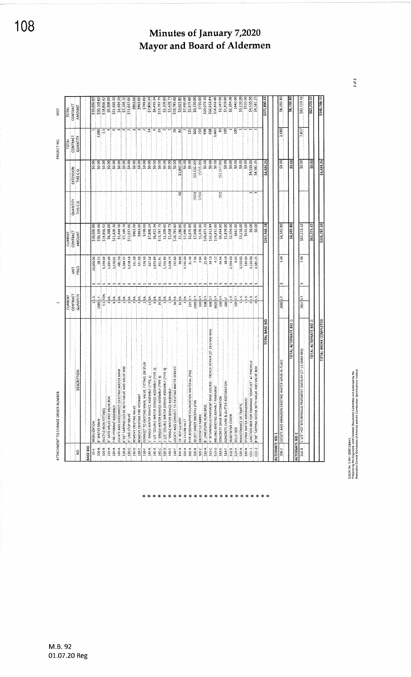| \$340,706.55             |                 |                    |          |                  |                         |                                                                                       |                                                                        |                 |
|--------------------------|-----------------|--------------------|----------|------------------|-------------------------|---------------------------------------------------------------------------------------|------------------------------------------------------------------------|-----------------|
| 562,223.37               |                 | 50.00              |          | \$62,723.32      |                         |                                                                                       | TOTAL ALTERNATE BID 2:                                                 |                 |
| \$62,223.32              | 7,817           | \$0.00             |          | \$62,223.32      | 7.96                    | s<br>ŠY.<br>7817                                                                      | 1-1/2" HOT BITUMINOUS PAVEMENT OVERLAY (ST-12-5MM MIX)                 | $510-8$         |
|                          |                 |                    |          |                  |                         |                                                                                       |                                                                        | ALTERNATE BID 2 |
| 36,592.80                |                 | \$0.00             |          | \$6,592.80       |                         |                                                                                       | <b>TOTAL ALTERNATE BID</b>                                             |                 |
| \$6,592.80               | 2,680           | \$0.00             |          | \$6,592.80       | 2.46                    | w<br>ند<br>ت<br>2680                                                                  | VATER MAIN IN-PLACE<br>LOCATE AND ABANDON EXISTING                     | $100-C$         |
|                          |                 |                    |          |                  |                         |                                                                                       |                                                                        | ALTERNATE BID 1 |
| \$271,890.43             |                 | \$4,424.25         |          | \$267,466.18     |                         |                                                                                       | <b>TOTAL BASE BID</b>                                                  |                 |
| \$4,581.29               |                 | \$4,581.25         |          |                  | 4,581.25                | $\overline{\circ}$                                                                    | 8"X8" TAPPING SLEEVE WITH VALVE AND VALVE BOX                          | $CO1 - 2$       |
| \$4,510.00               |                 | \$4,510.00         | **: r    | $rac{800}{3000}$ | 4,510.00                | $\circ$                                                                               | JUNCTION BOX FOR DRAINAGE "CONFLICT" AT PINEVILLE                      | $C01-1$         |
| \$535.00                 |                 | 50.00              |          | \$535.00         | 535.00                  | un : un                                                                               | STORM WATER MANAGEMENT                                                 | 530-A           |
| \$3,210.00               |                 |                    |          | \$3,210.00       | 3,210.00                | $\boldsymbol{v}$<br>J.                                                                | MAINTENANCE OF TRAFFIC                                                 | 520-A           |
| \$642.00                 | ខ្ល             | $rac{3000}{50000}$ |          | \$642.00         | 5.42                    | $\mathbf{v}$<br>100 S.Y.                                                              | SOLID SOD                                                              | 510-H           |
| \$2,354.00               |                 | 50.00              |          | \$2,354.00       | 2,354.00                | s.<br>$\frac{1}{1}$                                                                   | VEGETATIVE COVER                                                       | 510-G           |
| \$1,819.00               | ខ្ន             | \$0.00             |          | \$1,819.00       | 18.19                   | Š.<br>100 LF                                                                          | RATION<br>CONCRETE CURB & GUTTER RESTO                                 | 510-F           |
| \$2,247.00               | s,              | (52,247.00)        | (50)     | \$4,494.00       | 44.94                   | w.<br>100 S.Y.                                                                        | CONCRETE DRIVE RESTORATION                                             | 510-E           |
| \$14,832.00              | 3,600           | \$0.00             |          | \$14,832.00      | 4.12                    | <b>VS00015</b>                                                                        | MILLING EXISTING ASPHALT PAVEMENT                                      | 510-D           |
| \$32,013.94              | 938             | \$0.00             |          | \$32,013.94      | 34.13                   | w<br>938 S.Y.                                                                         | COURSE - TRENCH REPAIR (ST-19.0 MM MIX)<br>4" BITUMINOUS PAVEMENT BASE | 510-C           |
| \$20,073.20              | 938             | \$0.00             |          | \$20,073.20      | 21.40                   | 938 S.Y.                                                                              | <b>B" LIMESTONE ROAD BASE</b>                                          | 510-A           |
| \$735.00                 | 250             | (5735.00)          |          | \$1,470.00       | 2.94                    | v.<br>$x$ s $\log x$                                                                  | GEOTEXTILE FABRIC                                                      | 500-C           |
| \$3,530.00               | SO <sub>O</sub> | (53, 530.00)       | (350)    | \$7,060.00       | 7.06                    | $1000 \, \mathrm{C}$ Y.                                                               | SELECT SANDY BACKFILL (FM)                                             | 500-8           |
| \$2,675.00               | 125             | \$0.00             |          | \$2,675.00       | 21.40                   | ນະທະນາ<br>$125$ C.Y.                                                                  | MATERIAL (PM)<br>PIPE BEDDING/PIPE FOUNDATION                          | 500-A           |
| \$7,490.00               |                 | \$0.00             |          | \$7,490.00       | 3,745.00                | ą.                                                                                    | 55-2 CURB INLET                                                        | 320-A           |
| \$3,025.80               | 3               | \$1,845.00         | SO,      | \$1,180.80       | 36.90                   | 32 EA.                                                                                | 15" RCP CULVERT                                                        | 310-A           |
| \$10,785.60              | 56              | 50.00              |          | \$10,785.60      | 192.50                  | $\boldsymbol{w}_1$ $\boldsymbol{w}_2$ $\boldsymbol{w}_3$ $\boldsymbol{w}_4$<br>56 EA. | LOCATE AND CONNECT TO EXISTING WATER SERVICE                           | 140-F           |
|                          |                 | \$0.00             |          | 51,428.73        | 1,428.73                | $\overline{r}$                                                                        | 2" SINGLE WATER SERVICE ASSEMBLY                                       | 140-E           |
| \$2,209.60<br>\$1,428.73 |                 | \$0.00             |          | \$2,209.60       | 1,104.80                | द्ध                                                                                   | 1-1/2" DOUBLE WATER SERVICE ASSEMBLY (TYPE 4)                          | 140-0           |
| \$13,797.75              | 55              | \$0.00             |          | \$13,797.75      | 551.91                  | en i<br>å.<br>ত্র                                                                     | 1" SINGLE WATER SERVICE ASSEMBLY (TYPE 3)                              | 140-C           |
| \$6,455.34               | φ               | \$0.00             |          | \$6,455.34       | 1,075.89                | $\mathbf{\hat{v}}$<br>S<br>ত                                                          | 1-1/2" DOUBLE WATER SERVICE ASSEMBLY (TYPE 2)                          | 140-8           |
| \$7,800.24               | $\mathbf{1}$    |                    |          | \$7,800.24       | 557.16                  | $\mathbf{u}$<br>4<br>$\overline{4}$                                                   | 1" SINGLE WATER SERVICE ASSEMBLY (TYPE 1)                              | 140-A           |
| \$749.00                 |                 | 30.00              |          | \$749.00         | 374.50                  | ທ່ທ<br>S                                                                              | VE, FITTING, OR STUB<br>CONNECT TO EXISTING MAIN, VAL                  | $130-f$         |
| \$963.00                 |                 | \$0.00             |          | \$963.00         | 321.00                  | e,                                                                                    | REMOVE EXISTING FIRE HYDRANT                                           | $130 - E$       |
| \$963.00                 |                 |                    |          | \$963.00         | 321.00                  | $\omega$<br>S                                                                         | REMOVE EXISTING VALVE                                                  | 130-0           |
| \$11,037.06              |                 | 30.00              |          | \$11,037.06      | 5,518.53                | ທະທະທະ<br>£,                                                                          | 4" LINE-STOP VALVE                                                     | 130-C           |
| \$7,169.10               |                 |                    |          | \$7,169.10       | 3,584.55                | S,                                                                                    | 6"X6" TAPPING SLEEVE WITH VALVE AND VALVE BOX                          | 130-8           |
| 51,444.50                |                 |                    |          | \$1,444.50       | 481.50                  | સ્                                                                                    | LOCATE AND DISCONNECT EXISITING WATER MAIN                             | 130-A           |
| \$21,420.30              | ه               | \$0.00             |          | \$21,420.30      | 3,570.05                | $\omega$ $\omega$<br>S                                                                | FIRE HYDRANT ASSEMBLY                                                  | 120-A           |
| \$6,368.00               |                 | \$0.00             |          | \$6,368.00       | 1,592.00                | S.                                                                                    | 8" GATE VALVE AND VALVE BOX                                            | 110-A           |
| \$14,856.42              | 3.5             | \$0.00             |          | \$14,856.42      | 4,244.69                | s.<br>ĭОN<br>$\frac{3}{2}$                                                            | DUCTILE IRON FITTINGS                                                  | 100-8           |
| \$50,169.60              | 2,680           | \$0.00             |          | \$50,169.60      | 18.72                   | Ë<br>2680                                                                             | <b>3" WATER MAIN</b>                                                   | 100-A           |
| \$10,000.00              |                 | \$0.00             |          | \$10,000.00      | 10,000.00               | $\frac{1}{1}$                                                                         | <b>MOBILIZATION</b>                                                    | $10 - A$        |
|                          |                 |                    |          |                  |                         |                                                                                       |                                                                        | BASE BID        |
| AMOUNT                   | QUANTITY        | THIS CO.           | THIS C.O | AMOUNT           | PRICE                   | QUANTITY                                                                              | <b>DESCRIPTION</b>                                                     | g               |
| CONTRACT                 | CONTRACT        | EXTENSION          | QUANTITY | CONTRACT         | $\overline{\mathbf{s}}$ | CONTRACT                                                                              |                                                                        |                 |
| TOTAL                    | TOTAL           |                    |          | CURRENT          |                         | CURRENT                                                                               |                                                                        |                 |

EJODC No. C-941 (2002 Edison)<br>Prepared by the Engineeris' Joint Contract Documents Committee and endorsed by the<br>Associated General Contractions of America and the Construction Specifications Institute.

M.B. 92 01.07.20 Reg

# Minutes of January 7,2020 Mayor and Board of Aldermen

 $2$  of  $2$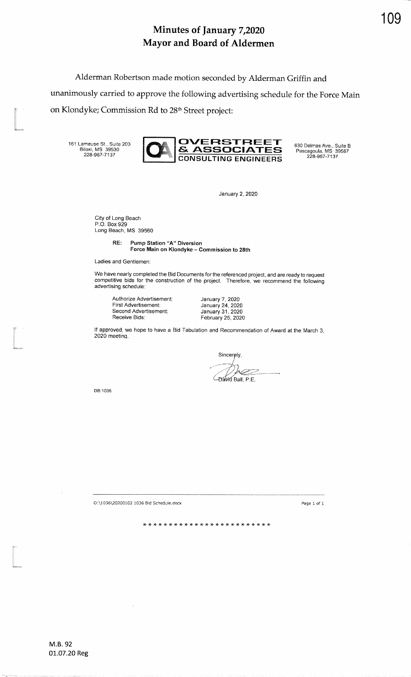Alderman Robertson made motion seconded by Alderman Griffin andunanimously carried to approve the following advertising schedule for the Force Mainon Klondyke; Commission Rd to 28ft Street project: t

161 Lameuse St., Suite 203<br>Biloxi, MS 39530<br>228-967-7137



January 2,2020

City of Long Beach P.O. Box 929Long Beach, MS 39560

> Pump Station "A" Diversion Force Main on Klondyke - Commission to 28thRE:

Ladies and Gentlemen:

We have nearly completed the Bid Documents for the referenced project, and are ready to request<br>competitive bids for the construction of the project. Therefore, we recommend the following advertising schedule:

Authorize Advertisement:First Advertisement: Second Advertisement:Receive Bids:

January 7,2020 January 24,2020 January 31, 2020February 25,2020

lf approved, we hope to have a Bid Tabulation and Recommendation of Award at the March 3,2020 meeting.

> Sincerely, **pez** Bavid Ball, P.E.

DB:1036

l<br>Sancono<br>Sancono

t<br>Eksternaar

O:U036\20200102 1036 Bid Schedule.docx

Page I of <sup>1</sup>

\* rt rF rF rF r\$ rr rF rF rF ri ri rt :F rt rt ri rr rF rt :F !F \* :F \*

109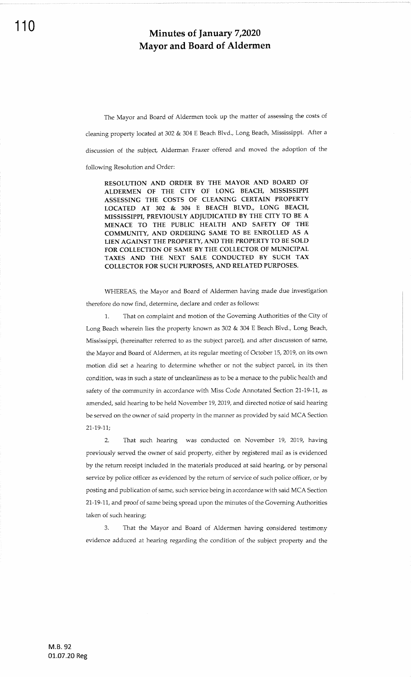The Mayor and Board of Aldermen took up the matter of assessing the costs of cleaning property located at 302 & 304 E Beach Blvd., Long Beach, Mississippi. After a discussion of the subject, Alderman Frazer offered and moved the adoption of the following Resolution and Order:

RESOLUTION AND ORDER BY THE MAYOR AND BOARD OF ALDERMEN OF THE CITY OF LONG BEACH, MISSISSPPI ASSESSING THE COSTS OT CLEANING CERTAIN PROPERTY LOCATED AT 302 & 304 E BEACH BLVD., IONG BEACH, MISSISSPPI, PREVIOUSLY ADIUDICATED BY THE CTTY TO BE A MENACE TO THE PUBLIC HEALTH AND SAFETY OF THE COMMUNITY, AND ORDERING SAME TO BE ENROLLED AS <sup>A</sup> LIEN AGAINST THE PROPERTY. AND THE PROPERTY TO BE SOLD FOR COLLECTION OF SAME BY THE COLLECTOR OF MUNICIPAL TAXES AND THE NEXT SALE CONDUCTED BY SUCH TAX COLLECTOR FOR SUCH PURPOSES, AND RELATED PURPOSES.

WHEREAS, the Mayor and Board of Aldermen having made due investigation therefore do now find, determine, declare and order as follows:

That on complaint and motion of the Governing Authorities of the City of Long Beach wherein lies the property known as 302 & 304 E Beach Blvd., Long Beach, Mississippi, (hereinafter referred to as the subject parcel), and after discussion of same, the Mayor and Board of Aldermen, at its regular meeting of October 15,2019, on its own motion did set a hearing to determine whether or not the subject parcel, in its then condition, was in such a state of uncleanliness as to be a menace to the public health and safety of the community in accordance with Miss Code Annotated Section 21-19-11, as amended, said hearing to be held November 19,2079, and directed notice of said hearing be served on the owner of said property in the manner as provided by said MCA Section 27-79-11;

2. That such hearing was conducted on November 19, 2019, having previously served the owner of said property, either by registered mail as is evidenced by the return receipt included in the materials produced at said hearing, or by personal service by police officer as evidenced by the return of service of such police officer, or by posting and publication of same, such service being in accordance with said MCA Section 21-19-11, and proof of same being spread upon the minutes of the Governing Authorities taken of such hearing;

3. That the Mayor and Board of Aldermen having considered testimony evidence adduced at hearing regarding the condition of the subject property and the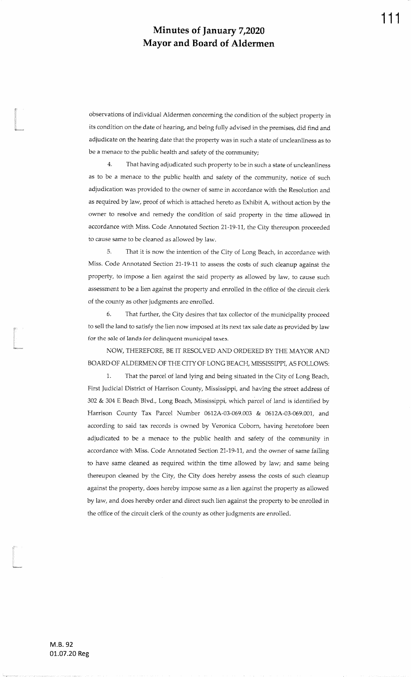observations of individual Aldermen concerning the condition of ihe subject property inits condition on the date of hearing, and being fully advised in the premises, did find and adjudicate on the hearing date that ihe property was in such a state of uncleanliness as tobe a menace to the public health and safety of the community;

4. That having adjudicated such property to be in such a state of uncleanlinessas to be a menace to the public health and safety of the community, notice of suchadjudication was provided to the owner of same in accordance with the Resolution andas required by law, proof of which is attached hereto as Exhibit A, without action by the owner to resolve and remedy the condition of said property in the time allowed inaccordance with Miss. Code Annotated Section 21-19-11, the City thereupon proceeded io cause same to be cleaned as allowed by law.

5. That it is now the intention of the City of Long Beach, in accordance with Miss. Code Annotated Section 21-19-11 to assess the costs of such cleanup against the property, to impose a lien against the said property as allowed by law, to cause suchassessment to be a lien against the property and enrolled in the office of the circuit clerkof the county as other judgments are enrolled.

6. That further, the City desires that tax collector of the municipality proceed to sell the land to satisfy the lien now imposed at its next tax sale date as provided by lawfor the sale of lands for delinquent municipal taxes.

NOW, THEREFORE, BE IT RESOLVED AND ORDERED BY THE MAYOR AND BOARD OF ALDERMEN OF THE CITY OF LONG BEACH, MISSISSIPPI, AS FOLLOWS:

1. That the parcel of land lying and being situated in the City of Long Beadr,First judicial District of Harrison County, Mississippi, and having the street address of302 & 304 E Beach Blvd., Long Beach, Mississippi, which parcel of land is identified by Harrison County Tax Parcel Number 0612A-03-069.003 & 0612A-03-069.001, andaccording to said tax records is owned by Veronica Coborn, having heretofore beenadjudicated to be a menace to the public health and safety of the community inaccordance with Miss. Code Annotated Section 21-19-11, and the owner of same failing to have same cleaned as required within the time allowed by law; and same beingthereupon cleaned by the City, the City does hereby assess the costs of such cleanupagainst the property, does hereby impose same as a lien against the property as allowedby law, and does hereby order and direct such lien against the property to be enrolled inthe office of the circuit clerk of the county as other judgments are enrolled.

L

l<br>|<br>|imaala

L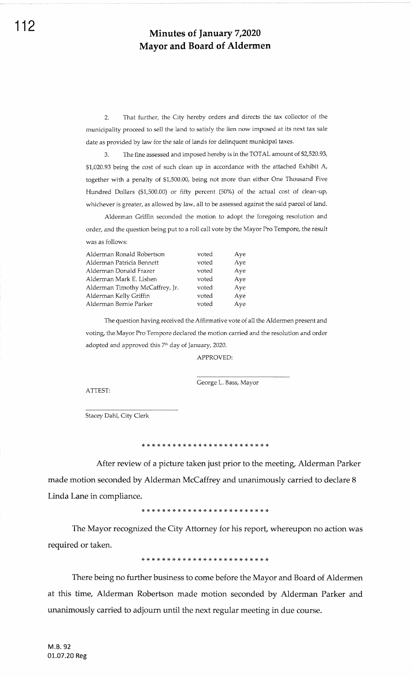2. That further, ihe Cify hereby orders and directs the tax collector of the municipality proceed to sell the land to satisfy the lien now imposed at its next tax sale date as provided by law for the sale of lands for delinquent municipal taxes.

3. The fine assessed and imposed hereby is in the TOTAL amount of \$2,520.93, \$1,020.93 being the cost of such clean up in accordance with the attached Exhibit A, together with a penalty of \$1,500.00, being not more than either One Thousand Five Hundred Dollars (\$1,500.00) or fifty percent (50%) of the actual cost of clean-up, whichever is greater, as allowed by law, all to be assessed against the said parcel of land.

Alderman Griffin seconded the motion to adopt the foregoing resolution and order, and the question being put to a roll call vote by the Mayor Pro Tempore, the result was as follows:

| Alderman Ronald Robertson       | voted | Aye |
|---------------------------------|-------|-----|
| Alderman Patricia Bennett       | voted | Aye |
| Alderman Donald Frazer          | voted | Aye |
| Alderman Mark E. Lishen         | voted | Ave |
| Alderman Timothy McCaffrey, Jr. | voted | Aye |
| Alderman Kelly Griffin          | voted | Aye |
| Alderman Bernie Parker          | voted | Aye |

The question having received the Affirmative vote of all the Aldermen present and voting, the Mayor Pro Tempore declared the motion carried and the resolution and order adopted and approved this 7<sup>th</sup> day of January, 2020.

APPROVED:

ATTEST

George L. Bass, Mayor

Stacey Dahl, Cify Clerk

After review of a picture taken just prior to the meeting, Alderman Parker made motion seconded by Alderman McCaffrey and unanimously carried to declare <sup>8</sup> Linda Lane in compliance.

\* \* )T \*'F \*'F'C,F,T'T,F'F'T'T'T'F,F \*,F \*,F {. )F'\$

The Mayor recognized the City Attorney for his report, whereupon no action was required or taken.

\* rF rF rF rF rF rF rF rF e(. \* \* \* rt \* \* \* \* \* \* rF rF ri r{. rt

There being no further business to come before the Mayor and Board of Aldermen at this time, Alderman Robertson made motion seconded by Alderman Parker and unanimously carried to adjourn until the next regular meeting in due course.

M.8.92 01.07.20 Reg